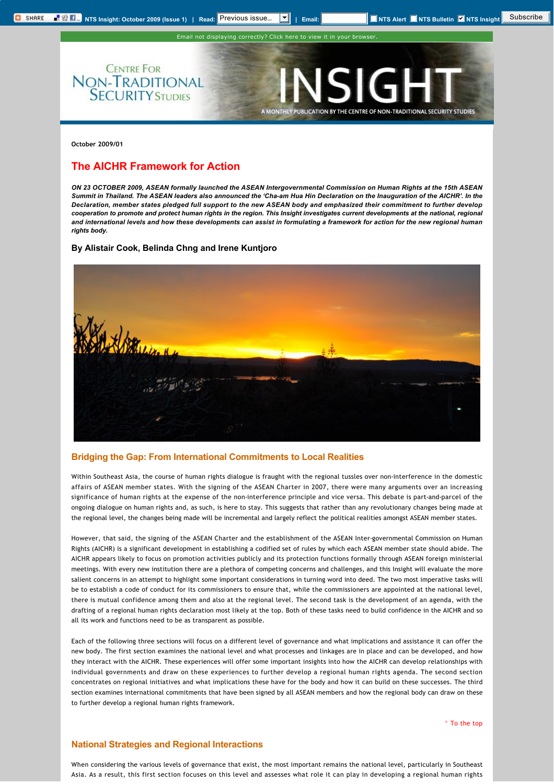**CENTRE FOR** 

**NON-TRADITIONAL**<br>**SECURITY STUDIES** 

Email not displaying correctly? [Click here to view it in your browser.](http://www.rsis.edu.sg/nts/html-newsletter/insight/NTS-insight-Oct-0901.html)

SIGH

A MONTHLY PUBLICATION BY THE CENTRE OF NON-TRADITIONAL SECURITY STUDIES

**October 2009/01**

# <span id="page-0-0"></span>**The AICHR Framework for Action**

*ON 23 OCTOBER 2009, ASEAN formally launched the ASEAN Intergovernmental Commission on Human Rights at the 15th ASEAN*  Summit in Thailand. The ASEAN leaders also announced the 'Cha-am Hua Hin Declaration on the Inauguration of the AICHR'. In the *Declaration, member states pledged full support to the new ASEAN body and emphasized their commitment to further develop*  cooperation to promote and protect human rights in the region. This Insight investigates current developments at the national, regional *and international levels and how these developments can assist in formulating a framework for action for the new regional human rights body.*

### **By Alistair Cook, Belinda Chng and Irene Kuntjoro**



## **Bridging the Gap: From International Commitments to Local Realities**

Within Southeast Asia, the course of human rights dialogue is fraught with the regional tussles over non-interference in the domestic affairs of ASEAN member states. With the signing of the ASEAN Charter in 2007, there were many arguments over an increasing significance of human rights at the expense of the non-interference principle and vice versa. This debate is part-and-parcel of the ongoing dialogue on human rights and, as such, is here to stay. This suggests that rather than any revolutionary changes being made at the regional level, the changes being made will be incremental and largely reflect the political realities amongst ASEAN member states.

However, that said, the signing of the ASEAN Charter and the establishment of the ASEAN Inter-governmental Commission on Human Rights (AICHR) is a significant development in establishing a codified set of rules by which each ASEAN member state should abide. The AICHR appears likely to focus on promotion activities publicly and its protection functions formally through ASEAN foreign ministerial meetings. With every new institution there are a plethora of competing concerns and challenges, and this Insight will evaluate the more salient concerns in an attempt to highlight some important considerations in turning word into deed. The two most imperative tasks will be to establish a code of conduct for its commissioners to ensure that, while the commissioners are appointed at the national level, there is mutual confidence among them and also at the regional level. The second task is the development of an agenda, with the drafting of a regional human rights declaration most likely at the top. Both of these tasks need to build confidence in the AICHR and so all its work and functions need to be as transparent as possible.

Each of the following three sections will focus on a different level of governance and what implications and assistance it can offer the new body. The first section examines the national level and what processes and linkages are in place and can be developed, and how they interact with the AICHR. These experiences will offer some important insights into how the AICHR can develop relationships with individual governments and draw on these experiences to further develop a regional human rights agenda. The second section concentrates on regional initiatives and what implications these have for the body and how it can build on these successes. The third section examines international commitments that have been signed by all ASEAN members and how the regional body can draw on these to further develop a regional human rights framework.

[^ To the top](#page-0-0)

### **National Strategies and Regional Interactions**

When considering the various levels of governance that exist, the most important remains the national level, particularly in Southeast Asia. As a result, this first section focuses on this level and assesses what role it can play in developing a regional human rights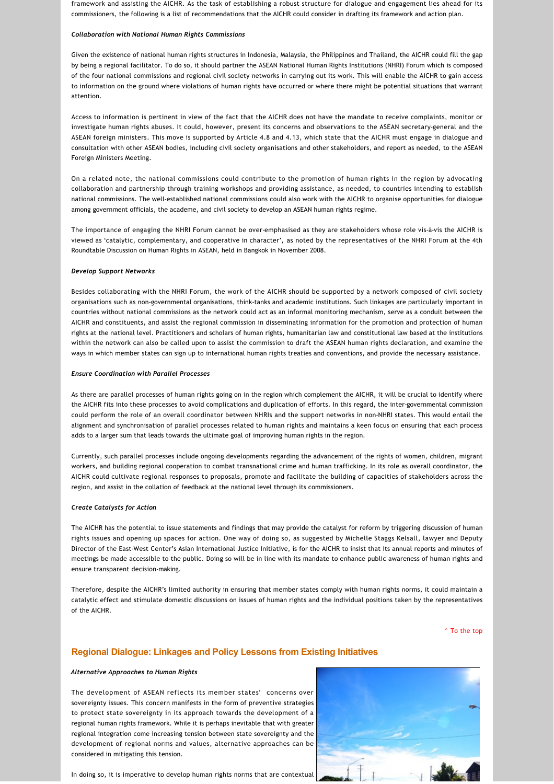framework and assisting the AICHR. As the task of establishing a robust structure for dialogue and engagement lies ahead for its commissioners, the following is a list of recommendations that the AICHR could consider in drafting its framework and action plan.

#### *Collaboration with National Human Rights Commissions*

Given the existence of national human rights structures in Indonesia, Malaysia, the Philippines and Thailand, the AICHR could fill the gap by being a regional facilitator. To do so, it should partner the ASEAN National Human Rights Institutions (NHRI) Forum which is composed of the four national commissions and regional civil society networks in carrying out its work. This will enable the AICHR to gain access to information on the ground where violations of human rights have occurred or where there might be potential situations that warrant attention.

Access to information is pertinent in view of the fact that the AICHR does not have the mandate to receive complaints, monitor or investigate human rights abuses. It could, however, present its concerns and observations to the ASEAN secretary‐general and the ASEAN foreign ministers. This move is supported by Article 4.8 and 4.13, which state that the AICHR must engage in dialogue and consultation with other ASEAN bodies, including civil society organisations and other stakeholders, and report as needed, to the ASEAN Foreign Ministers Meeting.

On a related note, the national commissions could contribute to the promotion of human rights in the region by advocating collaboration and partnership through training workshops and providing assistance, as needed, to countries intending to establish national commissions. The well‐established national commissions could also work with the AICHR to organise opportunities for dialogue among government officials, the academe, and civil society to develop an ASEAN human rights regime.

The importance of engaging the NHRI Forum cannot be over-emphasised as they are stakeholders whose role vis-à-vis the AICHR is viewed as 'catalytic, complementary, and cooperative in character', as noted by the representatives of the NHRI Forum at the 4th Roundtable Discussion on Human Rights in ASEAN, held in Bangkok in November 2008.

### *Develop Support Networks*

Besides collaborating with the NHRI Forum, the work of the AICHR should be supported by a network composed of civil society organisations such as non‐governmental organisations, think‐tanks and academic institutions. Such linkages are particularly important in countries without national commissions as the network could act as an informal monitoring mechanism, serve as a conduit between the AICHR and constituents, and assist the regional commission in disseminating information for the promotion and protection of human rights at the national level. Practitioners and scholars of human rights, humanitarian law and constitutional law based at the institutions within the network can also be called upon to assist the commission to draft the ASEAN human rights declaration, and examine the ways in which member states can sign up to international human rights treaties and conventions, and provide the necessary assistance.

### *Ensure Coordination with Parallel Processes*

As there are parallel processes of human rights going on in the region which complement the AICHR, it will be crucial to identify where the AICHR fits into these processes to avoid complications and duplication of efforts. In this regard, the inter‐governmental commission could perform the role of an overall coordinator between NHRIs and the support networks in non‐NHRI states. This would entail the alignment and synchronisation of parallel processes related to human rights and maintains a keen focus on ensuring that each process adds to a larger sum that leads towards the ultimate goal of improving human rights in the region.

Currently, such parallel processes include ongoing developments regarding the advancement of the rights of women, children, migrant workers, and building regional cooperation to combat transnational crime and human trafficking. In its role as overall coordinator, the AICHR could cultivate regional responses to proposals, promote and facilitate the building of capacities of stakeholders across the region, and assist in the collation of feedback at the national level through its commissioners.

### *Create Catalysts for Action*

The AICHR has the potential to issue statements and findings that may provide the catalyst for reform by triggering discussion of human rights issues and opening up spaces for action. One way of doing so, as suggested by Michelle Staggs Kelsall, lawyer and Deputy Director of the East‐West Center's Asian International Justice Initiative, is for the AICHR to insist that its annual reports and minutes of meetings be made accessible to the public. Doing so will be in line with its mandate to enhance public awareness of human rights and ensure transparent decision‐making.

Therefore, despite the AICHR's limited authority in ensuring that member states comply with human rights norms, it could maintain a catalytic effect and stimulate domestic discussions on issues of human rights and the individual positions taken by the representatives of the AICHR.

[^ To the top](#page-0-0)

### **Regional Dialogue: Linkages and Policy Lessons from Existing Initiatives**

#### *Alternative Approaches to Human Rights*

The development of ASEAN reflects its member states' concerns over sovereignty issues. This concern manifests in the form of preventive strategies to protect state sovereignty in its approach towards the development of a regional human rights framework. While it is perhaps inevitable that with greater regional integration come increasing tension between state sovereignty and the development of regional norms and values, alternative approaches can be considered in mitigating this tension.



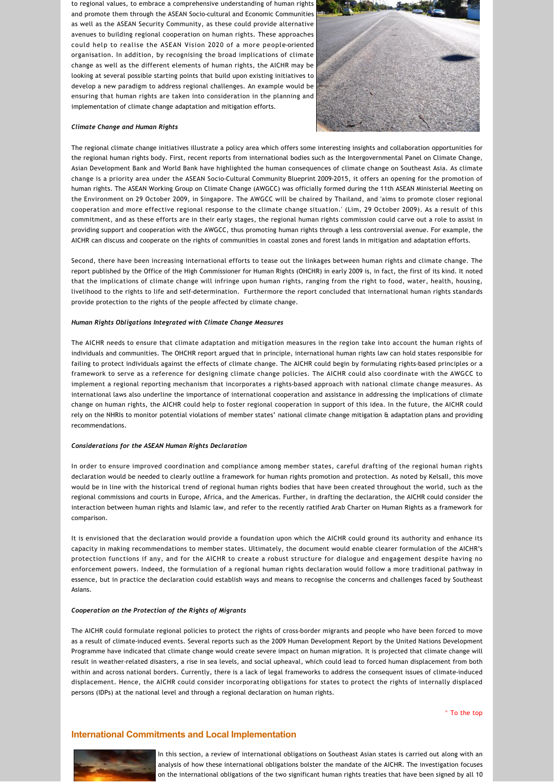to regional values, to embrace a comprehensive understanding of human rights and promote them through the ASEAN Socio‐cultural and Economic Communities as well as the ASEAN Security Community, as these could provide alternative avenues to building regional cooperation on human rights. These approaches could help to realise the ASEAN Vision 2020 of a more people‐oriented organisation. In addition, by recognising the broad implications of climate change as well as the different elements of human rights, the AICHR may be looking at several possible starting points that build upon existing initiatives to develop a new paradigm to address regional challenges. An example would be ensuring that human rights are taken into consideration in the planning and implementation of climate change adaptation and mitigation efforts.



#### *Climate Change and Human Rights*

The regional climate change initiatives illustrate a policy area which offers some interesting insights and collaboration opportunities for the regional human rights body. First, recent reports from international bodies such as the Intergovernmental Panel on Climate Change, Asian Development Bank and World Bank have highlighted the human consequences of climate change on Southeast Asia. As climate change is a priority area under the ASEAN Socio‐Cultural Community Blueprint 2009‐2015, it offers an opening for the promotion of human rights. The ASEAN Working Group on Climate Change (AWGCC) was officially formed during the 11th ASEAN Ministerial Meeting on the Environment on 29 October 2009, in Singapore. The AWGCC will be chaired by Thailand, and 'aims to promote closer regional cooperation and more effective regional response to the climate change situation.' (Lim, 29 October 2009). As a result of this commitment, and as these efforts are in their early stages, the regional human rights commission could carve out a role to assist in providing support and cooperation with the AWGCC, thus promoting human rights through a less controversial avenue. For example, the AICHR can discuss and cooperate on the rights of communities in coastal zones and forest lands in mitigation and adaptation efforts.

Second, there have been increasing international efforts to tease out the linkages between human rights and climate change. The report published by the Office of the High Commissioner for Human Rights (OHCHR) in early 2009 is, in fact, the first of its kind. It noted that the implications of climate change will infringe upon human rights, ranging from the right to food, water, health, housing, livelihood to the rights to life and self‐determination. Furthermore the report concluded that international human rights standards provide protection to the rights of the people affected by climate change.

### *Human Rights Obligations Integrated with Climate Change Measures*

The AICHR needs to ensure that climate adaptation and mitigation measures in the region take into account the human rights of individuals and communities. The OHCHR report argued that in principle, international human rights law can hold states responsible for failing to protect individuals against the effects of climate change. The AICHR could begin by formulating rights‐based principles or a framework to serve as a reference for designing climate change policies. The AICHR could also coordinate with the AWGCC to implement a regional reporting mechanism that incorporates a rights-based approach with national climate change measures. As international laws also underline the importance of international cooperation and assistance in addressing the implications of climate change on human rights, the AICHR could help to foster regional cooperation in support of this idea. In the future, the AICHR could rely on the NHRIs to monitor potential violations of member states' national climate change mitigation & adaptation plans and providing recommendations.

#### *Considerations for the ASEAN Human Rights Declaration*

In order to ensure improved coordination and compliance among member states, careful drafting of the regional human rights declaration would be needed to clearly outline a framework for human rights promotion and protection. As noted by Kelsall, this move would be in line with the historical trend of regional human rights bodies that have been created throughout the world, such as the regional commissions and courts in Europe, Africa, and the Americas. Further, in drafting the declaration, the AICHR could consider the interaction between human rights and Islamic law, and refer to the recently ratified Arab Charter on Human Rights as a framework for comparison.

It is envisioned that the declaration would provide a foundation upon which the AICHR could ground its authority and enhance its capacity in making recommendations to member states. Ultimately, the document would enable clearer formulation of the AICHR's protection functions if any, and for the AICHR to create a robust structure for dialogue and engagement despite having no enforcement powers. Indeed, the formulation of a regional human rights declaration would follow a more traditional pathway in essence, but in practice the declaration could establish ways and means to recognise the concerns and challenges faced by Southeast Asians.

#### *Cooperation on the Protection of the Rights of Migrants*

The AICHR could formulate regional policies to protect the rights of cross‐border migrants and people who have been forced to move as a result of climate‐induced events. Several reports such as the 2009 Human Development Report by the United Nations Development Programme have indicated that climate change would create severe impact on human migration. It is projected that climate change will result in weather‐related disasters, a rise in sea levels, and social upheaval, which could lead to forced human displacement from both within and across national borders. Currently, there is a lack of legal frameworks to address the consequent issues of climate‐induced displacement. Hence, the AICHR could consider incorporating obligations for states to protect the rights of internally displaced persons (IDPs) at the national level and through a regional declaration on human rights.

[^ To the top](#page-0-0)

### **International Commitments and Local Implementation**



In this section, a review of international obligations on Southeast Asian states is carried out along with an analysis of how these international obligations bolster the mandate of the AICHR. The investigation focuses on the international obligations of the two significant human rights treaties that have been signed by all 10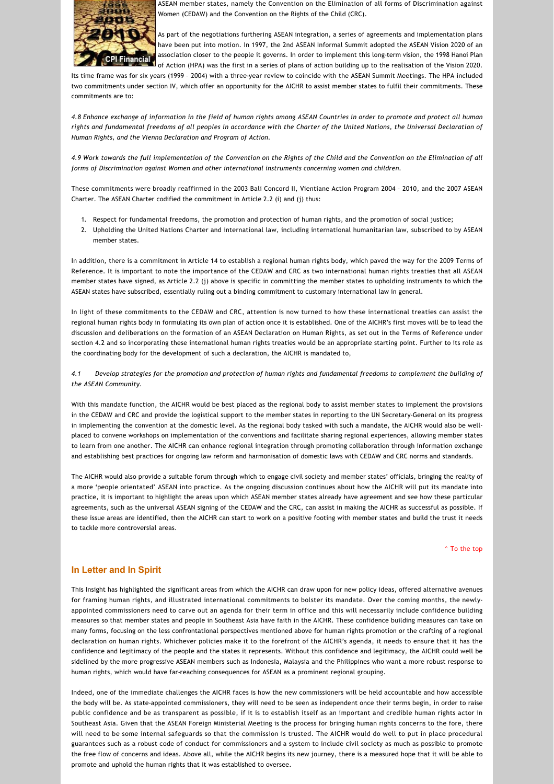

ASEAN member states, namely the Convention on the Elimination of all forms of Discrimination against Women (CEDAW) and the Convention on the Rights of the Child (CRC).

As part of the negotiations furthering ASEAN integration, a series of agreements and implementation plans have been put into motion. In 1997, the 2nd ASEAN Informal Summit adopted the ASEAN Vision 2020 of an association closer to the people it governs. In order to implement this long-term vision, the 1998 Hanoi Plan **Thancial** association closer to the people it served in series to make the realisation of the Vision 2020.

Its time frame was for six years (1999 - 2004) with a three-year review to coincide with the ASEAN Summit Meetings. The HPA included two commitments under section IV, which offer an opportunity for the AICHR to assist member states to fulfil their commitments. These commitments are to:

*4.8 Enhance exchange of information in the field of human rights among ASEAN Countries in order to promote and protect all human rights and fundamental freedoms of all peoples in accordance with the Charter of the United Nations, the Universal Declaration of Human Rights, and the Vienna Declaration and Program of Action.*

*4.9 Work towards the full implementation of the Convention on the Rights of the Child and the Convention on the Elimination of all forms of Discrimination against Women and other international instruments concerning women and children.*

These commitments were broadly reaffirmed in the 2003 Bali Concord II, Vientiane Action Program 2004 – 2010, and the 2007 ASEAN Charter. The ASEAN Charter codified the commitment in Article 2.2 (i) and (j) thus:

- 1. Respect for fundamental freedoms, the promotion and protection of human rights, and the promotion of social justice;
- 2. Upholding the United Nations Charter and international law, including international humanitarian law, subscribed to by ASEAN member states.

In addition, there is a commitment in Article 14 to establish a regional human rights body, which paved the way for the 2009 Terms of Reference. It is important to note the importance of the CEDAW and CRC as two international human rights treaties that all ASEAN member states have signed, as Article 2.2 (j) above is specific in committing the member states to upholding instruments to which the ASEAN states have subscribed, essentially ruling out a binding commitment to customary international law in general.

In light of these commitments to the CEDAW and CRC, attention is now turned to how these international treaties can assist the regional human rights body in formulating its own plan of action once it is established. One of the AICHR's first moves will be to lead the discussion and deliberations on the formation of an ASEAN Declaration on Human Rights, as set out in the Terms of Reference under section 4.2 and so incorporating these international human rights treaties would be an appropriate starting point. Further to its role as the coordinating body for the development of such a declaration, the AICHR is mandated to,

*4.1 Develop strategies for the promotion and protection of human rights and fundamental freedoms to complement the building of the ASEAN Community*.

With this mandate function, the AICHR would be best placed as the regional body to assist member states to implement the provisions in the CEDAW and CRC and provide the logistical support to the member states in reporting to the UN Secretary‐General on its progress in implementing the convention at the domestic level. As the regional body tasked with such a mandate, the AICHR would also be wellplaced to convene workshops on implementation of the conventions and facilitate sharing regional experiences, allowing member states to learn from one another. The AICHR can enhance regional integration through promoting collaboration through information exchange and establishing best practices for ongoing law reform and harmonisation of domestic laws with CEDAW and CRC norms and standards.

The AICHR would also provide a suitable forum through which to engage civil society and member states' officials, bringing the reality of a more 'people orientated' ASEAN into practice. As the ongoing discussion continues about how the AICHR will put its mandate into practice, it is important to highlight the areas upon which ASEAN member states already have agreement and see how these particular agreements, such as the universal ASEAN signing of the CEDAW and the CRC, can assist in making the AICHR as successful as possible. If these issue areas are identified, then the AICHR can start to work on a positive footing with member states and build the trust it needs to tackle more controversial areas.

[^ To the top](#page-0-0)

## **In Letter and In Spirit**

This Insight has highlighted the significant areas from which the AICHR can draw upon for new policy ideas, offered alternative avenues for framing human rights, and illustrated international commitments to bolster its mandate. Over the coming months, the newlyappointed commissioners need to carve out an agenda for their term in office and this will necessarily include confidence building measures so that member states and people in Southeast Asia have faith in the AICHR. These confidence building measures can take on many forms, focusing on the less confrontational perspectives mentioned above for human rights promotion or the crafting of a regional declaration on human rights. Whichever policies make it to the forefront of the AICHR's agenda, it needs to ensure that it has the confidence and legitimacy of the people and the states it represents. Without this confidence and legitimacy, the AICHR could well be sidelined by the more progressive ASEAN members such as Indonesia, Malaysia and the Philippines who want a more robust response to human rights, which would have far-reaching consequences for ASEAN as a prominent regional grouping.

Indeed, one of the immediate challenges the AICHR faces is how the new commissioners will be held accountable and how accessible the body will be. As state‐appointed commissioners, they will need to be seen as independent once their terms begin, in order to raise public confidence and be as transparent as possible, if it is to establish itself as an important and credible human rights actor in Southeast Asia. Given that the ASEAN Foreign Ministerial Meeting is the process for bringing human rights concerns to the fore, there will need to be some internal safeguards so that the commission is trusted. The AICHR would do well to put in place procedural guarantees such as a robust code of conduct for commissioners and a system to include civil society as much as possible to promote the free flow of concerns and ideas. Above all, while the AICHR begins its new journey, there is a measured hope that it will be able to promote and uphold the human rights that it was established to oversee.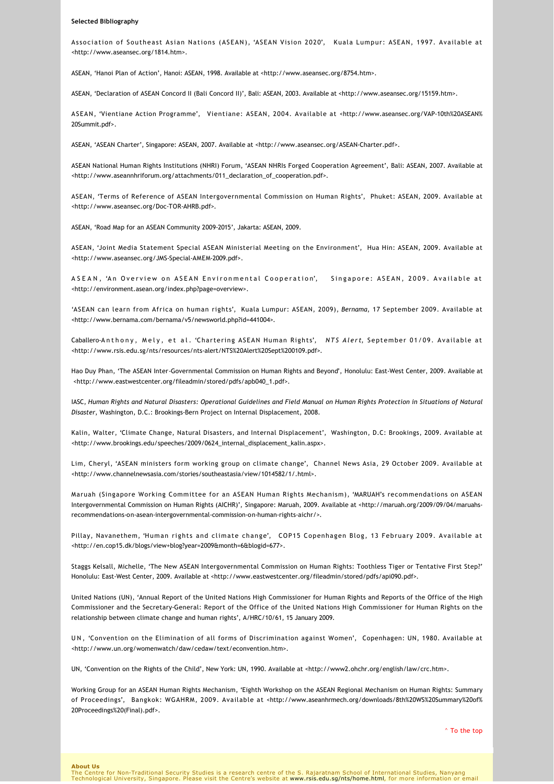#### **Selected Bibliography**

Association of Southeast Asian Nations (ASEAN), 'ASEAN Vision 2020', Kuala Lumpur: ASEAN, 1997. Available at [<http://www.aseansec.org/1814.htm](http://www.aseansec.org/1814.htm)>.

ASEAN, 'Hanoi Plan of Action', Hanoi: ASEAN, 1998. Available at <[http://www.aseansec.org/8754.htm>](http://www.aseansec.org/8754.htm).

ASEAN, 'Declaration of ASEAN Concord II (Bali Concord II)', Bali: ASEAN, 2003. Available at [<http://www.aseansec.org/15159.htm>](http://www.aseansec.org/15159.htm).

[ASEAN, 'Vientiane Action Programme', Vientiane: ASEAN, 2004. Available at <http://www.aseansec.org/VAP‐10th%20ASEAN%](http://www.aseansec.org/VAP-10th%20ASEAN%20Summit.pdf) 20Summit.pdf>.

ASEAN, 'ASEAN Charter', Singapore: ASEAN, 2007. Available at <[http://www.aseansec.org/ASEAN‐Charter.pdf>](http://www.aseansec.org/ASEAN-Charter.pdf).

ASEAN National Human Rights Institutions (NHRI) Forum, 'ASEAN NHRIs Forged Cooperation Agreement', Bali: ASEAN, 2007. Available at [<http://www.aseannhriforum.org/attachments/011\\_declaration\\_of\\_cooperation.pdf>](http://www.aseannhriforum.org/attachments/011_declaration_of_cooperation.pdf).

ASEAN, 'Terms of Reference of ASEAN Intergovernmental Commission on Human Rights', Phuket: ASEAN, 2009. Available at [<http://www.aseansec.org/Doc‐TOR‐AHRB.pdf>](http://www.aseansec.org/Doc-TOR-AHRB.pdf).

ASEAN, 'Road Map for an ASEAN Community 2009‐2015', Jakarta: ASEAN, 2009.

ASEAN, 'Joint Media Statement Special ASEAN Ministerial Meeting on the Environment', Hua Hin: ASEAN, 2009. Available at [<http://www.aseansec.org/JMS‐Special‐AMEM‐2009.pdf](http://www.aseansec.org/JMS-Special-AMEM-2009.pdf)>.

ASEAN, 'An Overview on ASEAN Environmental Cooperation', Singapore: ASEAN, 2009. Available at [<http://environment.asean.org/index.php?page=overview>](http://environment.asean.org/index.php?page=overview).

'ASEAN can learn from Africa on human rights', Kuala Lumpur: ASEAN, 2009), *Bernama*, 17 September 2009. Available at [<http://www.bernama.com/bernama/v5/newsworld.php?id=441004>](http://www.bernama.com/bernama/v5/newsworld.php?id=441004).

Caballero‐Anthony, Mely, et al. 'Chartering ASEAN Human Rights', *NTS Alert*, September 01/09. Available at [<http://www.rsis.edu.sg/nts/resources/nts‐alert/NTS%20Alert%20Sept%200109.pdf](http://www.rsis.edu.sg/nts/resources/nts-alert/NTS%20Alert%20Sept%200109.pdf)>.

Hao Duy Phan, 'The ASEAN Inter‐Governmental Commission on Human Rights and Beyond', Honolulu: East‐West Center, 2009. Available at <[http://www.eastwestcenter.org/fileadmin/stored/pdfs/apb040\\_1.pdf>](http://www.eastwestcenter.org/fileadmin/stored/pdfs/apb040_1.pdf).

IASC, *Human Rights and Natural Disasters: Operational Guidelines and Field Manual on Human Rights Protection in Situations of Natural Disaster*, Washington, D.C.: Brookings‐Bern Project on Internal Displacement, 2008.

Kalin, Walter, 'Climate Change, Natural Disasters, and Internal Displacement', Washington, D.C: Brookings, 2009. Available at [<http://www.brookings.edu/speeches/2009/0624\\_internal\\_displacement\\_kalin.aspx>](http://www.brookings.edu/speeches/2009/0624_internal_displacement_kalin.aspx).

Lim, Cheryl, 'ASEAN ministers form working group on climate change', Channel News Asia, 29 October 2009. Available at [<http://www.channelnewsasia.com/stories/southeastasia/view/1014582/1/.html>.](http://www.channelnewsasia.com/stories/southeastasia/view/1014582/1/.html)

Maruah (Singapore Working Committee for an ASEAN Human Rights Mechanism), 'MARUAH's recommendations on ASEAN [Intergovernmental Commission on Human Rights \(AICHR\)', Singapore: Maruah, 2009. Available at <http://maruah.org/2009/09/04/maruahs‐](http://maruah.org/2009/09/04/maruahs-recommendations-on-asean-intergovernmental-commission-on-human-rights-aichr/) recommendations‐on‐asean‐intergovernmental‐commission‐on‐human‐rights‐aichr/>.

Pillay, Navanethem, 'Human rights and climate change', COP15 Copenhagen Blog, 13 February 2009. Available at [<http://en.cop15.dk/blogs/view+blog?year=2009&month=6&blogid=677](http://en.cop15.dk/blogs/view+blog?year=2009&month=6&blogid=677)>.

Staggs Kelsall, Michelle, 'The New ASEAN Intergovernmental Commission on Human Rights: Toothless Tiger or Tentative First Step?' Honolulu: East‐West Center, 2009. Available at [<http://www.eastwestcenter.org/fileadmin/stored/pdfs/api090.pdf>](http://www.eastwestcenter.org/fileadmin/stored/pdfs/api090.pdf).

United Nations (UN), 'Annual Report of the United Nations High Commissioner for Human Rights and Reports of the Office of the High Commissioner and the Secretary‐General: Report of the Office of the United Nations High Commissioner for Human Rights on the relationship between climate change and human rights', A/HRC/10/61, 15 January 2009.

UN, 'Convention on the Elimination of all forms of Discrimination against Women', Copenhagen: UN, 1980. Available at [<http://www.un.org/womenwatch/daw/cedaw/text/econvention.htm>](http://www.un.org/womenwatch/daw/cedaw/text/econvention.htm).

UN, 'Convention on the Rights of the Child', New York: UN, 1990. Available at [<http://www2.ohchr.org/english/law/crc.htm](http://www2.ohchr.org/english/law/crc.htm)>.

Working Group for an ASEAN Human Rights Mechanism, 'Eighth Workshop on the ASEAN Regional Mechanism on Human Rights: Summary [of Proceedings', Bangkok: WGAHRM, 2009. Available at <http://www.aseanhrmech.org/downloads/8th%20WS%20Summary%20of%](http://www.aseanhrmech.org/downloads/8th%20WS%20Summary%20of%20Proceedings%20(Final).pdf) 20Proceedings%20(Final).pdf>.

[^ To the top](#page-0-0)

**About Us**